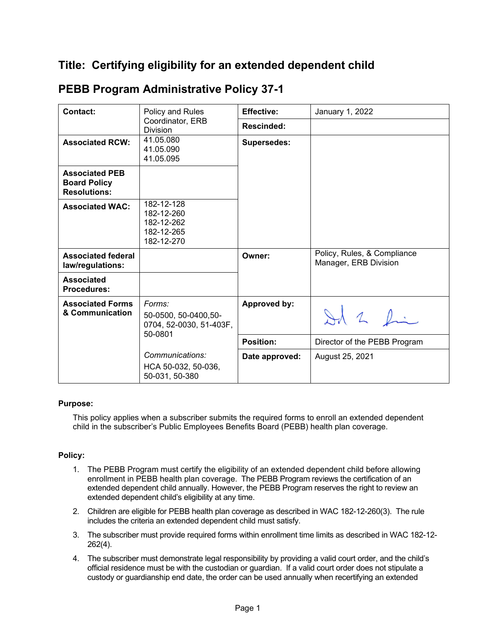## **Title: Certifying eligibility for an extended dependent child**

| <b>Contact:</b>                                                     | Policy and Rules<br>Coordinator, ERB<br><b>Division</b>               | <b>Effective:</b>  | January 1, 2022                                      |
|---------------------------------------------------------------------|-----------------------------------------------------------------------|--------------------|------------------------------------------------------|
|                                                                     |                                                                       | Rescinded:         |                                                      |
| <b>Associated RCW:</b>                                              | 41.05.080<br>41.05.090<br>41.05.095                                   | <b>Supersedes:</b> |                                                      |
| <b>Associated PEB</b><br><b>Board Policy</b><br><b>Resolutions:</b> |                                                                       |                    |                                                      |
| <b>Associated WAC:</b>                                              | 182-12-128<br>182-12-260<br>182-12-262<br>182-12-265<br>182-12-270    |                    |                                                      |
| <b>Associated federal</b><br>law/regulations:                       |                                                                       | Owner:             | Policy, Rules, & Compliance<br>Manager, ERB Division |
| <b>Associated</b><br><b>Procedures:</b>                             |                                                                       |                    |                                                      |
| <b>Associated Forms</b><br>& Communication                          | Forms:<br>50-0500, 50-0400, 50-<br>0704, 52-0030, 51-403F,<br>50-0801 | Approved by:       | Ad 2 fin                                             |
|                                                                     |                                                                       | <b>Position:</b>   | Director of the PEBB Program                         |
|                                                                     | Communications:<br>HCA 50-032, 50-036,<br>50-031, 50-380              | Date approved:     | August 25, 2021                                      |

## **PEBB Program Administrative Policy 37-1**

## **Purpose:**

This policy applies when a subscriber submits the required forms to enroll an extended dependent child in the subscriber's Public Employees Benefits Board (PEBB) health plan coverage.

## **Policy:**

- 1. The PEBB Program must certify the eligibility of an extended dependent child before allowing enrollment in PEBB health plan coverage. The PEBB Program reviews the certification of an extended dependent child annually. However, the PEBB Program reserves the right to review an extended dependent child's eligibility at any time.
- 2. Children are eligible for PEBB health plan coverage as described in WAC 182-12-260(3). The rule includes the criteria an extended dependent child must satisfy.
- 3. The subscriber must provide required forms within enrollment time limits as described in WAC 182-12- 262(4).
- 4. The subscriber must demonstrate legal responsibility by providing a valid court order, and the child's official residence must be with the custodian or guardian. If a valid court order does not stipulate a custody or guardianship end date, the order can be used annually when recertifying an extended